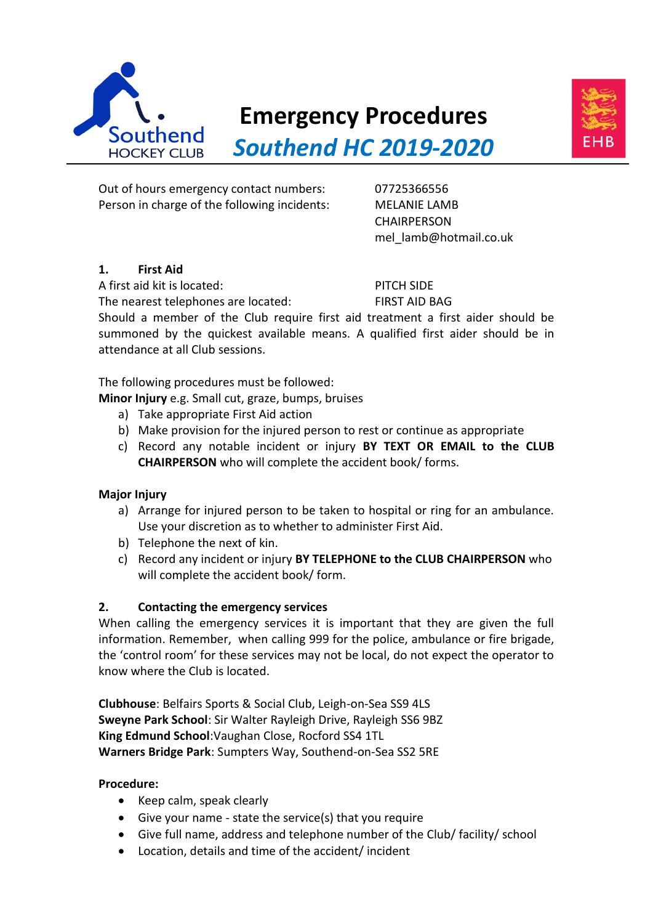

# **Emergency Procedures**



*Southend HC 2019-2020*

Out of hours emergency contact numbers: 07725366556 Person in charge of the following incidents: MELANIE LAMB

**CHAIRPERSON** mel\_lamb@hotmail.co.uk

# **1. First Aid**

A first aid kit is located: PITCH SIDE

The nearest telephones are located: FIRST AID BAG

Should a member of the Club require first aid treatment a first aider should be summoned by the quickest available means. A qualified first aider should be in attendance at all Club sessions.

The following procedures must be followed:

**Minor Injury** e.g. Small cut, graze, bumps, bruises

- a) Take appropriate First Aid action
- b) Make provision for the injured person to rest or continue as appropriate
- c) Record any notable incident or injury **BY TEXT OR EMAIL to the CLUB CHAIRPERSON** who will complete the accident book/ forms.

# **Major Injury**

- a) Arrange for injured person to be taken to hospital or ring for an ambulance. Use your discretion as to whether to administer First Aid.
- b) Telephone the next of kin.
- c) Record any incident or injury **BY TELEPHONE to the CLUB CHAIRPERSON** who will complete the accident book/ form.

# **2. Contacting the emergency services**

When calling the emergency services it is important that they are given the full information. Remember, when calling 999 for the police, ambulance or fire brigade, the 'control room' for these services may not be local, do not expect the operator to know where the Club is located.

**Clubhouse**: Belfairs Sports & Social Club, Leigh-on-Sea SS9 4LS **Sweyne Park School**: Sir Walter Rayleigh Drive, Rayleigh SS6 9BZ **King Edmund School**:Vaughan Close, Rocford SS4 1TL **Warners Bridge Park**: Sumpters Way, Southend-on-Sea SS2 5RE

#### **Procedure:**

- Keep calm, speak clearly
- Give your name state the service(s) that you require
- Give full name, address and telephone number of the Club/ facility/ school
- Location, details and time of the accident/ incident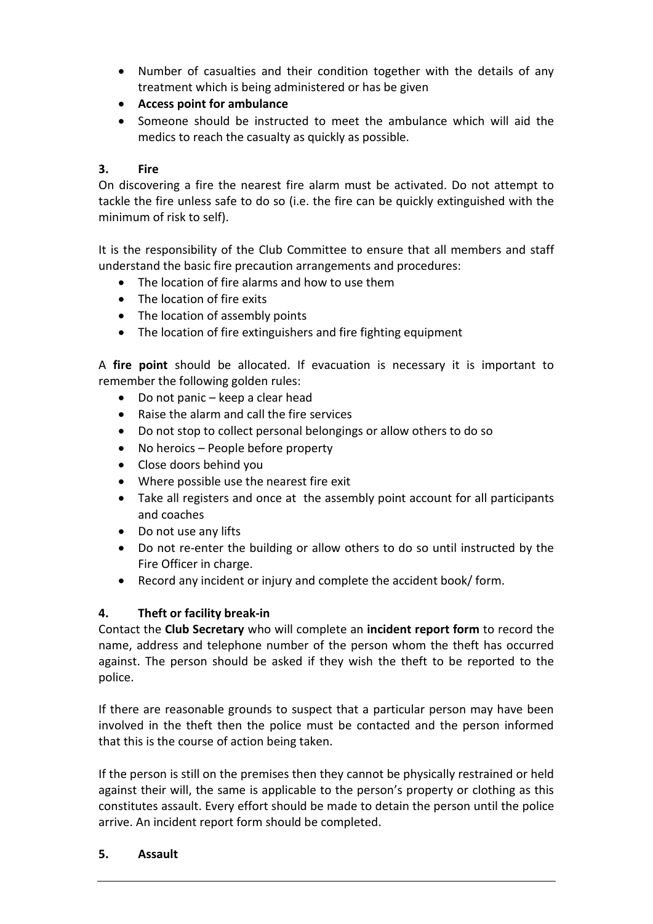- Number of casualties and their condition together with the details of any treatment which is being administered or has be given
- **Access point for ambulance**
- Someone should be instructed to meet the ambulance which will aid the medics to reach the casualty as quickly as possible.

### **3. Fire**

On discovering a fire the nearest fire alarm must be activated. Do not attempt to tackle the fire unless safe to do so (i.e. the fire can be quickly extinguished with the minimum of risk to self).

It is the responsibility of the Club Committee to ensure that all members and staff understand the basic fire precaution arrangements and procedures:

- The location of fire alarms and how to use them
- The location of fire exits
- The location of assembly points
- The location of fire extinguishers and fire fighting equipment

A **fire point** should be allocated. If evacuation is necessary it is important to remember the following golden rules:

- Do not panic keep a clear head
- Raise the alarm and call the fire services
- Do not stop to collect personal belongings or allow others to do so
- No heroics People before property
- Close doors behind you
- Where possible use the nearest fire exit
- Take all registers and once at the assembly point account for all participants and coaches
- Do not use any lifts
- Do not re-enter the building or allow others to do so until instructed by the Fire Officer in charge.
- Record any incident or injury and complete the accident book/ form.

#### **4. Theft or facility break-in**

Contact the **Club Secretary** who will complete an **incident report form** to record the name, address and telephone number of the person whom the theft has occurred against. The person should be asked if they wish the theft to be reported to the police.

If there are reasonable grounds to suspect that a particular person may have been involved in the theft then the police must be contacted and the person informed that this is the course of action being taken.

If the person is still on the premises then they cannot be physically restrained or held against their will, the same is applicable to the person's property or clothing as this constitutes assault. Every effort should be made to detain the person until the police arrive. An incident report form should be completed.

#### **5. Assault**